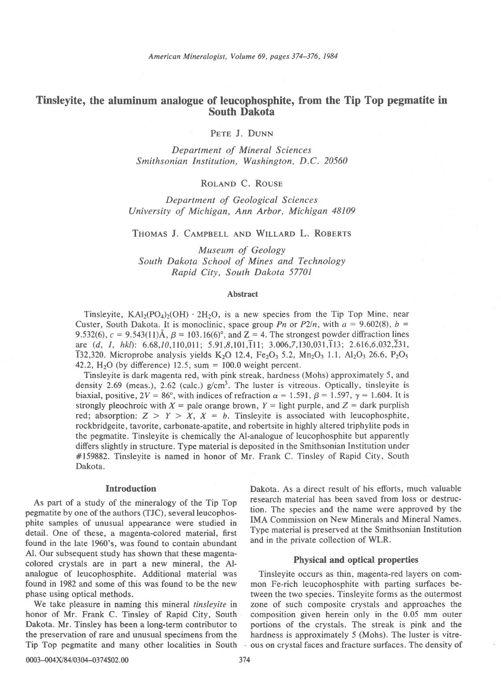# Tinsleyite, the aluminum analogue of leucophosphite, from the Tip Top pegmatite in South Dakota

PETE J. DUNN

Department of Mineral Sciences Smithsonian Institation, Washington, D.C. 20560

ROLAND C. ROUSE

Department of Geological Sciences University of Michigan, Ann Arbor, Michigan 48109

THOMAS J. CAMPBELL AND WILLARD L. ROBERTS

Museum of Geology South Dakota School of Mines and Technology Rapid City, South Dakota 57701

#### Abstract

Tinsleyite,  $\text{KAl}_2(\text{PO}_4)_2(\text{OH}) \cdot 2\text{H}_2\text{O}$ , is a new species from the Tip Top Mine, near Custer, South Dakota. It is monoclinic, space group Pn or P2/n, with  $a = 9.602(8)$ ,  $b =$ 9.532(6),  $c = 9.543(11)$ Å,  $\beta = 103.16(6)^\circ$ , and  $Z = 4$ . The strongest powder diffraction lines are (d, I, hkl):  $6.68,10,110,011$ ;  $5.91,8,101$ , $\overline{1}11$ ;  $3.006,7,130,031$ , $\overline{1}13$ ;  $2.616,6,032,231$ , 132,320. Microprobe analysis yields K<sub>2</sub>O 12.4, Fe<sub>2</sub>O<sub>3</sub> 5.2, Mn<sub>2</sub>O<sub>3</sub> 1.1, Al<sub>2</sub>O<sub>3</sub> 26.6, P<sub>2</sub>O<sub>5</sub> 42.2, H<sub>2</sub>O (by difference) 12.5, sum =  $100.0$  weight percent.

Tinsleyite is dark magenta red, with pink streak, hardness (Mohs) approximately 5, and density 2.69 (meas.), 2.62 (calc.)  $g/cm<sup>3</sup>$ . The luster is vitreous. Optically, tinsleyite is biaxial, positive,  $2V = 86^\circ$ , with indices of refraction  $\alpha = 1.591$ ,  $\beta = 1.597$ ,  $\gamma = 1.604$ . It is strongly pleochroic with  $X =$  pale orange brown,  $Y =$  light purple, and  $Z =$  dark purplish red; absorption:  $Z > Y > X$ ,  $X = b$ . Tinsleyite is associated with leucophosphite, rockbridgeite, tavorite, carbonate-apatite, and robertsite in highly altered triphylite pods in the pegmatite. Tinsleyite is chemically the Al-analogue of leucophosphite but apparently differs slightly in structure. Type material is deposited in the Smithsonian Institution under #159882. Tinsleyite is named in honor of Mr. Frank C. Tinsley of Rapid City, South Dakota.

### Introduction

As part of a study of the mineralogy of the Tip Top pegmatite by one of the authors (TJC), several leucophosphite samples of unusual appearance were studied in detail. One of these, a magenta-colored material, first found in the late 1960's, was found to contain abundant Al. Our subsequent study has shown that these magentacolored crystals are in part a new mineral, the Alanalogue of leucophosphite. Additional material was found in 1982 and some of this was found to be the new phase using optical methods.

We take pleasure in naming this mineral tinsleyite in honor of Mr. Frank C. Tinsley of Rapid City, South Dakota. Mr. Tinsley has been a long-term contributor to the preservation of rare and unusual specimens from the Tip Top pegmatite and many other localities in South Dakota. As a direct result of his efforts, much valuable research material has been saved from loss or destruction. The species and the name were approved by the IMA Commission on New Minerals and Mineral Names. Type material is preserved at the Smithsonian Institution and in the private collection of WLR.

#### Physical and optical properties

Tinsleyite occurs as thin, magenta-red layers on common Fe-rich leucophosphite with parting surfaces between the two species. Tinsleyite forms as the outermost zone of such composite crystals and approaches the composition given herein only in the 0.05 mm outer portions of the crystals. The streak is pink and the hardness is approximately 5 (Mohs). The luster is vitre-- ous on crystal faces and fracture surfaces. The density of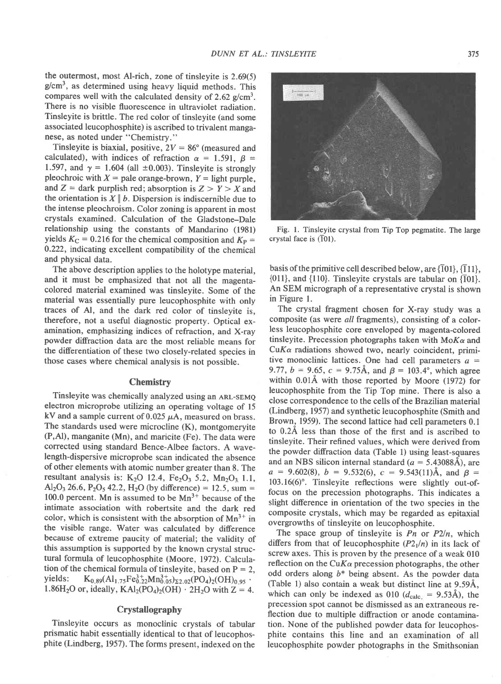crystal face is  $(101)$ .

the outermost, most Al-rich, zone of tinsleyite is 2.69(5)  $g/cm<sup>3</sup>$ , as determined using heavy liquid methods. This compares well with the calculated density of 2.62 g/cm<sup>3</sup>. There is no visible fluorescence in ultraviolet radiation. Tinsleyite is brittle. The red color of tinsleyite (and some associated leucophosphite) is ascribed to trivalent manganese, as noted under "Chemistry."

Tinsleyite is biaxial, positive,  $2V = 86^{\circ}$  (measured and calculated), with indices of refraction  $\alpha = 1.591$ ,  $\beta =$ 1.597, and  $\gamma$  = 1.604 (all  $\pm$ 0.003). Tinsleyite is strongly pleochroic with  $X =$  pale orange-brown,  $Y =$  light purple, and  $Z =$  dark purplish red; absorption is  $Z > Y > X$  and the orientation is  $X \parallel b$ . Dispersion is indiscernible due to the intense pleochroism. Color zoning is apparent in most crystals examined. Calculation of the Gladstone-Dale relationship using the constants of Mandarino (1981) yields  $K_C = 0.216$  for the chemical composition and  $K_P =$ 0.222, indicating excellent compatibility of the chemical and physical data.

The above description applies to the holotype material, and it must be emphasized that not all the magentacolored material examined was tinsleyite. Some of the material was essentially pure leucophosphite with only traces of Al, and the dark red color of tinsleyite is, therefore, not a useful diagnostic property. Optical examination, emphasizing indices of refraction, and X-ray powder difraction data are the most reliable means for the difierentiation of these two closely-related species in those cases where chemical analysis is not possible.

#### **Chemistry**

Tinsleyite was chemically analyzed using an ARL-SEMe electron microprobe utilizing an operating voltage of 15 kV and a sample current of 0.025  $\mu$ A, measured on brass. The standards used were microcline (K), montgomeryite (P,Al), manganite (Mn), and maricite (Fe). The data were corrected using standard Bence-Albee factors. A wavelength-dispersive microprobe scan indicated the absence of other elements with atomic number greater than 8. The resultant analysis is:  $K_2O$  12.4,  $Fe_2O_3$  5.2,  $Mn_2O_3$  1.1, Al<sub>2</sub>O<sub>3</sub> 26.6, P<sub>2</sub>O<sub>5</sub> 42.2, H<sub>2</sub>O (by difference) = 12.5, sum = 100.0 percent. Mn is assumed to be  $Mn^{3+}$  because of the intimate association with robertsite and the dark red color, which is consistent with the absorption of  $Mn^{3+}$  in the visible range. Water was calculated by difference because of extreme paucity of material; the validity of this assumption is supported by the known crystal structural formula of leucophosphite (Moore, 1972). Calculation of the chemical formula of tinsleyite, based on  $P = 2$ , yields:  $K_{0.89}(Al_{1.75}Fe_{0.22}^{3+}Mn_{0.05}^{3+})_{\Sigma2.02}(PO_4)_2(OH)_{0.95}$ . 1.86H<sub>2</sub>O or, ideally,  $\text{KAl}_2(\text{PO}_4)_2(\text{OH}) \cdot 2\text{H}_2\text{O}$  with  $\text{Z} = 4$ .

## Crystallography

Tinsleyite occurs as monoclinic crystals of tabular prismatic habit essentially identical to that of leucophosphite (Lindberg, 1957). The forms present, indexed on the

Fig. l. Tinsleyite crystal from Tip Top pegmatite. The large

basis of the primitive cell described below, are  $\{101\}$ ,  $\{111\}$ ,  $\{011\}$ , and  $\{110\}$ . Tinslevite crystals are tabular on  $\{101\}$ . An SEM micrograph of a representative crystal is shown in Figure l.

The crystal fragment chosen for X-ray study was a composite (as were *all* fragments), consisting of a colorless leucophosphite core enveloped by magenta-colored tinsleyite. Precession photographs taken with  $M \circ K \alpha$  and  $CuKa$  radiations showed two, nearly coincident, primitive monoclinic lattices. One had cell parameters  $a =$ 9.77,  $b = 9.65$ ,  $c = 9.75$ Å, and  $\beta = 103.4^{\circ}$ , which agree within 0.014 with those reported by Moore (1972) for leucophosphite from the Tip Top mine. There is also a close correspondence to the cells of the Brazilian material (Lindberg, 1957) and synthetic leucophosphite (Smith and Brown, 1959). The second lattice had cell parameters 0.1 to 0.2Å less than those of the first and is ascribed to tinsleyite. Their refined values, which were derived from the powder difraction data (Table l) using least-squares and an NBS silicon internal standard ( $a = 5.43088\text{\AA}$ ), are  $a = 9.602(8)$ ,  $b = 9.532(6)$ ,  $c = 9.543(11)$ Å, and  $\beta =$ 103.16(6)". Tinsleyite reflections were slightly out-offocus on the precession photographs. This indicates a slight difference in orientation of the two species in the composite crystals, which may be regarded as epitaxial overgrowths of tinsleyite on leucophosphite.

The space group of tinsleyite is  $P_n$  or  $P_2/n$ , which differs from that of leucophosphite  $(P2_1/n)$  in its lack of screw axes. This is proven by the presence of a weak 010 reflection on the CuK $\alpha$  precession photographs, the other odd orders along  $b^*$  being absent. As the powder data (Table 1) also contain a weak but distinct line at 9.594. which can only be indexed as 010 ( $d_{\text{calc}} = 9.53\text{\AA}$ ), the precession spot cannot be dismissed as an extraneous reflection due to multiple difraction or anode contamination. None of the published powder data for leucophosphite contains this line and an examination of all leucophosphite powder photographs in the Smithsonian